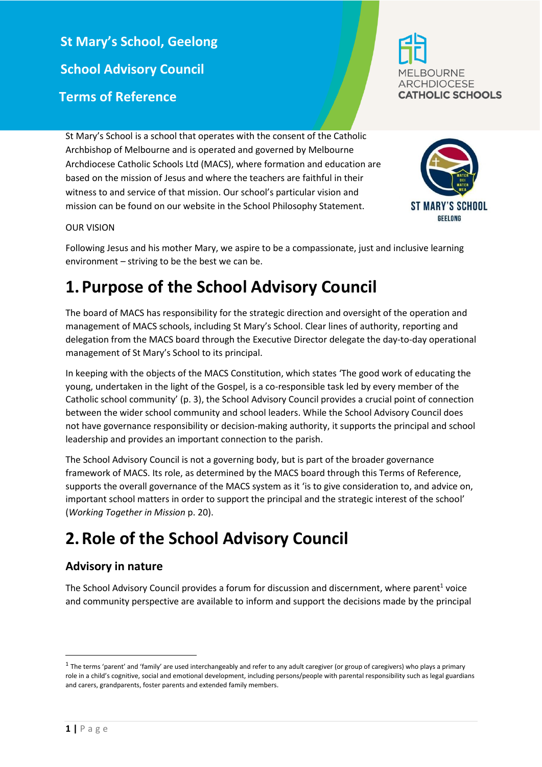**St Mary's School, Geelong School Advisory Council Terms of Reference**





#### OUR VISION

Following Jesus and his mother Mary, we aspire to be a compassionate, just and inclusive learning environment – striving to be the best we can be.

## **1.Purpose of the School Advisory Council**

St Mary's School is a school that operates with the consent of the Catholic Archbishop of Melbourne and is operated and governed by Melbourne

Archdiocese Catholic Schools Ltd (MACS), where formation and education are based on the mission of Jesus and where the teachers are faithful in their witness to and service of that mission. Our school's particular vision and mission can be found on our website in the School Philosophy Statement.

The board of MACS has responsibility for the strategic direction and oversight of the operation and management of MACS schools, including St Mary's School. Clear lines of authority, reporting and delegation from the MACS board through the Executive Director delegate the day-to-day operational management of St Mary's School to its principal.

In keeping with the objects of the MACS Constitution, which states 'The good work of educating the young, undertaken in the light of the Gospel, is a co-responsible task led by every member of the Catholic school community' (p. 3), the School Advisory Council provides a crucial point of connection between the wider school community and school leaders. While the School Advisory Council does not have governance responsibility or decision-making authority, it supports the principal and school leadership and provides an important connection to the parish.

The School Advisory Council is not a governing body, but is part of the broader governance framework of MACS. Its role, as determined by the MACS board through this Terms of Reference, supports the overall governance of the MACS system as it 'is to give consideration to, and advice on, important school matters in order to support the principal and the strategic interest of the school' (*Working Together in Mission* p. 20).

## **2.Role of the School Advisory Council**

#### **Advisory in nature**

The School Advisory Council provides a forum for discussion and discernment, where parent<sup>1</sup> voice and community perspective are available to inform and support the decisions made by the principal

**.** 

 $^1$  The terms 'parent' and 'family' are used interchangeably and refer to any adult caregiver (or group of caregivers) who plays a primary role in a child's cognitive, social and emotional development, including persons/people with parental responsibility such as legal guardians and carers, grandparents, foster parents and extended family members.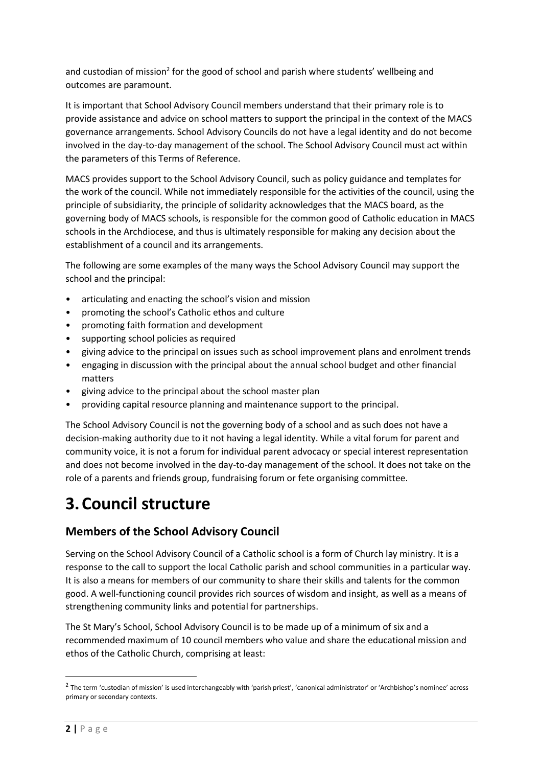and custodian of mission<sup>2</sup> for the good of school and parish where students' wellbeing and outcomes are paramount.

It is important that School Advisory Council members understand that their primary role is to provide assistance and advice on school matters to support the principal in the context of the MACS governance arrangements. School Advisory Councils do not have a legal identity and do not become involved in the day-to-day management of the school. The School Advisory Council must act within the parameters of this Terms of Reference.

MACS provides support to the School Advisory Council, such as policy guidance and templates for the work of the council. While not immediately responsible for the activities of the council, using the principle of subsidiarity, the principle of solidarity acknowledges that the MACS board, as the governing body of MACS schools, is responsible for the common good of Catholic education in MACS schools in the Archdiocese, and thus is ultimately responsible for making any decision about the establishment of a council and its arrangements.

The following are some examples of the many ways the School Advisory Council may support the school and the principal:

- articulating and enacting the school's vision and mission
- promoting the school's Catholic ethos and culture
- promoting faith formation and development
- supporting school policies as required
- giving advice to the principal on issues such as school improvement plans and enrolment trends
- engaging in discussion with the principal about the annual school budget and other financial matters
- giving advice to the principal about the school master plan
- providing capital resource planning and maintenance support to the principal.

The School Advisory Council is not the governing body of a school and as such does not have a decision-making authority due to it not having a legal identity. While a vital forum for parent and community voice, it is not a forum for individual parent advocacy or special interest representation and does not become involved in the day-to-day management of the school. It does not take on the role of a parents and friends group, fundraising forum or fete organising committee.

## **3.Council structure**

## **Members of the School Advisory Council**

Serving on the School Advisory Council of a Catholic school is a form of Church lay ministry. It is a response to the call to support the local Catholic parish and school communities in a particular way. It is also a means for members of our community to share their skills and talents for the common good. A well-functioning council provides rich sources of wisdom and insight, as well as a means of strengthening community links and potential for partnerships.

The St Mary's School, School Advisory Council is to be made up of a minimum of six and a recommended maximum of 10 council members who value and share the educational mission and ethos of the Catholic Church, comprising at least:

**.** 

 $^2$  The term 'custodian of mission' is used interchangeably with 'parish priest', 'canonical administrator' or 'Archbishop's nominee' across primary or secondary contexts.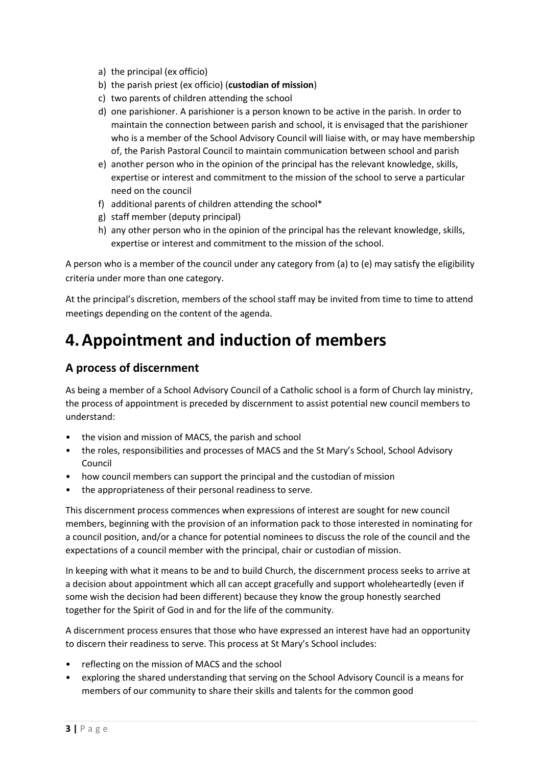- a) the principal (ex officio)
- b) the parish priest (ex officio) (**custodian of mission**)
- c) two parents of children attending the school
- d) one parishioner. A parishioner is a person known to be active in the parish. In order to maintain the connection between parish and school, it is envisaged that the parishioner who is a member of the School Advisory Council will liaise with, or may have membership of, the Parish Pastoral Council to maintain communication between school and parish
- e) another person who in the opinion of the principal has the relevant knowledge, skills, expertise or interest and commitment to the mission of the school to serve a particular need on the council
- f) additional parents of children attending the school\*
- g) staff member (deputy principal)
- h) any other person who in the opinion of the principal has the relevant knowledge, skills, expertise or interest and commitment to the mission of the school.

A person who is a member of the council under any category from (a) to (e) may satisfy the eligibility criteria under more than one category.

At the principal's discretion, members of the school staff may be invited from time to time to attend meetings depending on the content of the agenda.

# **4.Appointment and induction of members**

## **A process of discernment**

As being a member of a School Advisory Council of a Catholic school is a form of Church lay ministry, the process of appointment is preceded by discernment to assist potential new council members to understand:

- the vision and mission of MACS, the parish and school
- the roles, responsibilities and processes of MACS and the St Mary's School, School Advisory Council
- how council members can support the principal and the custodian of mission
- the appropriateness of their personal readiness to serve.

This discernment process commences when expressions of interest are sought for new council members, beginning with the provision of an information pack to those interested in nominating for a council position, and/or a chance for potential nominees to discuss the role of the council and the expectations of a council member with the principal, chair or custodian of mission.

In keeping with what it means to be and to build Church, the discernment process seeks to arrive at a decision about appointment which all can accept gracefully and support wholeheartedly (even if some wish the decision had been different) because they know the group honestly searched together for the Spirit of God in and for the life of the community.

A discernment process ensures that those who have expressed an interest have had an opportunity to discern their readiness to serve. This process at St Mary's School includes:

- reflecting on the mission of MACS and the school
- exploring the shared understanding that serving on the School Advisory Council is a means for members of our community to share their skills and talents for the common good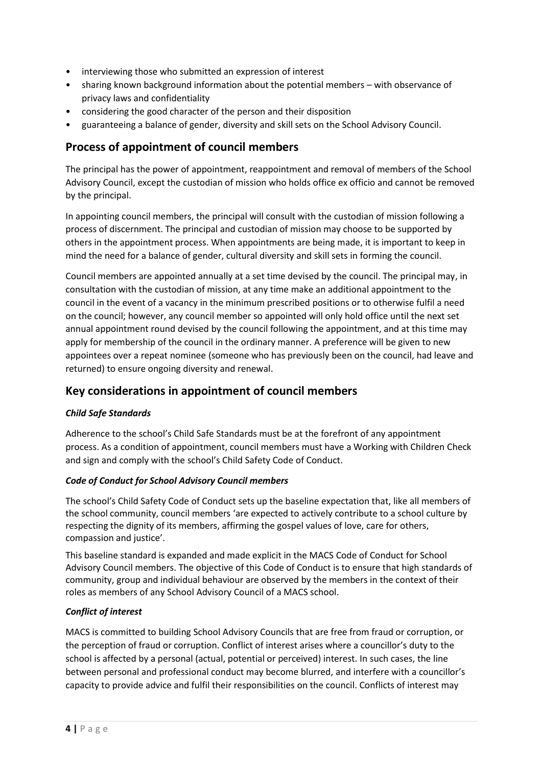- interviewing those who submitted an expression of interest
- sharing known background information about the potential members with observance of privacy laws and confidentiality
- considering the good character of the person and their disposition
- guaranteeing a balance of gender, diversity and skill sets on the School Advisory Council.

## **Process of appointment of council members**

The principal has the power of appointment, reappointment and removal of members of the School Advisory Council, except the custodian of mission who holds office ex officio and cannot be removed by the principal.

In appointing council members, the principal will consult with the custodian of mission following a process of discernment. The principal and custodian of mission may choose to be supported by others in the appointment process. When appointments are being made, it is important to keep in mind the need for a balance of gender, cultural diversity and skill sets in forming the council.

Council members are appointed annually at a set time devised by the council. The principal may, in consultation with the custodian of mission, at any time make an additional appointment to the council in the event of a vacancy in the minimum prescribed positions or to otherwise fulfil a need on the council; however, any council member so appointed will only hold office until the next set annual appointment round devised by the council following the appointment, and at this time may apply for membership of the council in the ordinary manner. A preference will be given to new appointees over a repeat nominee (someone who has previously been on the council, had leave and returned) to ensure ongoing diversity and renewal.

## **Key considerations in appointment of council members**

#### *Child Safe Standards*

Adherence to the school's Child Safe Standards must be at the forefront of any appointment process. As a condition of appointment, council members must have a Working with Children Check and sign and comply with the school's Child Safety Code of Conduct.

#### *Code of Conduct for School Advisory Council members*

The school's Child Safety Code of Conduct sets up the baseline expectation that, like all members of the school community, council members 'are expected to actively contribute to a school culture by respecting the dignity of its members, affirming the gospel values of love, care for others, compassion and justice'.

This baseline standard is expanded and made explicit in the MACS Code of Conduct for School Advisory Council members. The objective of this Code of Conduct is to ensure that high standards of community, group and individual behaviour are observed by the members in the context of their roles as members of any School Advisory Council of a MACS school.

#### *Conflict of interest*

MACS is committed to building School Advisory Councils that are free from fraud or corruption, or the perception of fraud or corruption. Conflict of interest arises where a councillor's duty to the school is affected by a personal (actual, potential or perceived) interest. In such cases, the line between personal and professional conduct may become blurred, and interfere with a councillor's capacity to provide advice and fulfil their responsibilities on the council. Conflicts of interest may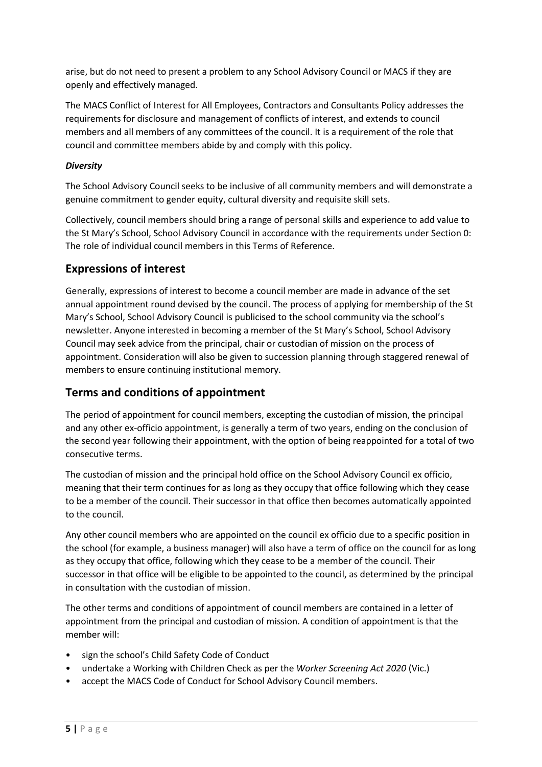arise, but do not need to present a problem to any School Advisory Council or MACS if they are openly and effectively managed.

The MACS Conflict of Interest for All Employees, Contractors and Consultants Policy addresses the requirements for disclosure and management of conflicts of interest, and extends to council members and all members of any committees of the council. It is a requirement of the role that council and committee members abide by and comply with this policy.

#### *Diversity*

The School Advisory Council seeks to be inclusive of all community members and will demonstrate a genuine commitment to gender equity, cultural diversity and requisite skill sets.

Collectively, council members should bring a range of personal skills and experience to add value to the St Mary's School, School Advisory Council in accordance with the requirements under Section [0:](#page-5-0) The role of individual council members in this Terms of Reference.

## **Expressions of interest**

Generally, expressions of interest to become a council member are made in advance of the set annual appointment round devised by the council. The process of applying for membership of the St Mary's School, School Advisory Council is publicised to the school community via the school's newsletter. Anyone interested in becoming a member of the St Mary's School, School Advisory Council may seek advice from the principal, chair or custodian of mission on the process of appointment. Consideration will also be given to succession planning through staggered renewal of members to ensure continuing institutional memory.

## **Terms and conditions of appointment**

The period of appointment for council members, excepting the custodian of mission, the principal and any other ex-officio appointment, is generally a term of two years, ending on the conclusion of the second year following their appointment, with the option of being reappointed for a total of two consecutive terms.

The custodian of mission and the principal hold office on the School Advisory Council ex officio, meaning that their term continues for as long as they occupy that office following which they cease to be a member of the council. Their successor in that office then becomes automatically appointed to the council.

Any other council members who are appointed on the council ex officio due to a specific position in the school (for example, a business manager) will also have a term of office on the council for as long as they occupy that office, following which they cease to be a member of the council. Their successor in that office will be eligible to be appointed to the council, as determined by the principal in consultation with the custodian of mission.

The other terms and conditions of appointment of council members are contained in a letter of appointment from the principal and custodian of mission. A condition of appointment is that the member will:

- sign the school's Child Safety Code of Conduct
- undertake a Working with Children Check as per the *Worker Screening Act 2020* (Vic.)
- accept the MACS Code of Conduct for School Advisory Council members.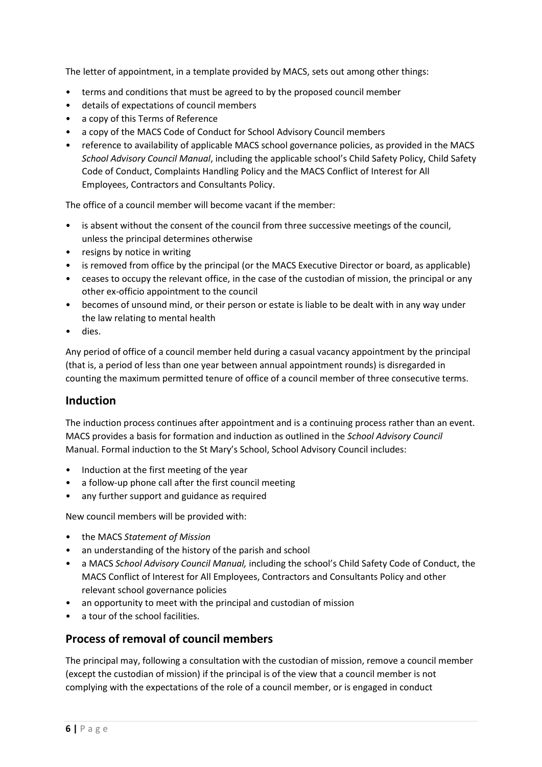The letter of appointment, in a template provided by MACS, sets out among other things:

- terms and conditions that must be agreed to by the proposed council member
- details of expectations of council members
- a copy of this Terms of Reference
- a copy of the MACS Code of Conduct for School Advisory Council members
- reference to availability of applicable MACS school governance policies, as provided in the MACS *School Advisory Council Manual*, including the applicable school's Child Safety Policy, Child Safety Code of Conduct, Complaints Handling Policy and the MACS Conflict of Interest for All Employees, Contractors and Consultants Policy.

The office of a council member will become vacant if the member:

- is absent without the consent of the council from three successive meetings of the council, unless the principal determines otherwise
- resigns by notice in writing
- is removed from office by the principal (or the MACS Executive Director or board, as applicable)
- ceases to occupy the relevant office, in the case of the custodian of mission, the principal or any other ex-officio appointment to the council
- becomes of unsound mind, or their person or estate is liable to be dealt with in any way under the law relating to mental health
- dies.

Any period of office of a council member held during a casual vacancy appointment by the principal (that is, a period of less than one year between annual appointment rounds) is disregarded in counting the maximum permitted tenure of office of a council member of three consecutive terms.

#### <span id="page-5-0"></span>**Induction**

The induction process continues after appointment and is a continuing process rather than an event. MACS provides a basis for formation and induction as outlined in the *School Advisory Council*  Manual. Formal induction to the St Mary's School, School Advisory Council includes:

- Induction at the first meeting of the year
- a follow-up phone call after the first council meeting
- any further support and guidance as required

New council members will be provided with:

- the MACS *Statement of Mission*
- an understanding of the history of the parish and school
- a MACS *School Advisory Council Manual,* including the school's Child Safety Code of Conduct, the MACS Conflict of Interest for All Employees, Contractors and Consultants Policy and other relevant school governance policies
- an opportunity to meet with the principal and custodian of mission
- a tour of the school facilities.

## **Process of removal of council members**

The principal may, following a consultation with the custodian of mission, remove a council member (except the custodian of mission) if the principal is of the view that a council member is not complying with the expectations of the role of a council member, or is engaged in conduct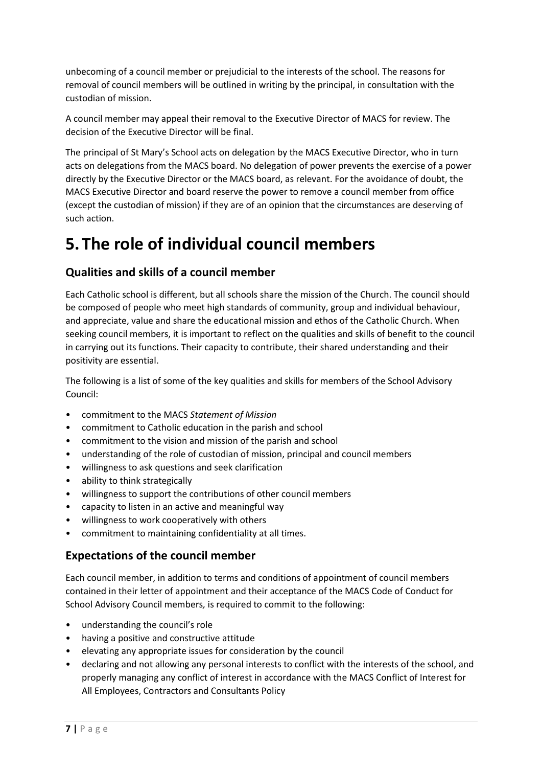unbecoming of a council member or prejudicial to the interests of the school. The reasons for removal of council members will be outlined in writing by the principal, in consultation with the custodian of mission.

A council member may appeal their removal to the Executive Director of MACS for review. The decision of the Executive Director will be final.

The principal of St Mary's School acts on delegation by the MACS Executive Director, who in turn acts on delegations from the MACS board. No delegation of power prevents the exercise of a power directly by the Executive Director or the MACS board, as relevant. For the avoidance of doubt, the MACS Executive Director and board reserve the power to remove a council member from office (except the custodian of mission) if they are of an opinion that the circumstances are deserving of such action.

## **5.The role of individual council members**

## **Qualities and skills of a council member**

Each Catholic school is different, but all schools share the mission of the Church. The council should be composed of people who meet high standards of community, group and individual behaviour, and appreciate, value and share the educational mission and ethos of the Catholic Church. When seeking council members, it is important to reflect on the qualities and skills of benefit to the council in carrying out its functions. Their capacity to contribute, their shared understanding and their positivity are essential.

The following is a list of some of the key qualities and skills for members of the School Advisory Council:

- commitment to the MACS *Statement of Mission*
- commitment to Catholic education in the parish and school
- commitment to the vision and mission of the parish and school
- understanding of the role of custodian of mission, principal and council members
- willingness to ask questions and seek clarification
- ability to think strategically
- willingness to support the contributions of other council members
- capacity to listen in an active and meaningful way
- willingness to work cooperatively with others
- commitment to maintaining confidentiality at all times.

## **Expectations of the council member**

Each council member, in addition to terms and conditions of appointment of council members contained in their letter of appointment and their acceptance of the MACS Code of Conduct for School Advisory Council members*,* is required to commit to the following:

- understanding the council's role
- having a positive and constructive attitude
- elevating any appropriate issues for consideration by the council
- declaring and not allowing any personal interests to conflict with the interests of the school, and properly managing any conflict of interest in accordance with the MACS Conflict of Interest for All Employees, Contractors and Consultants Policy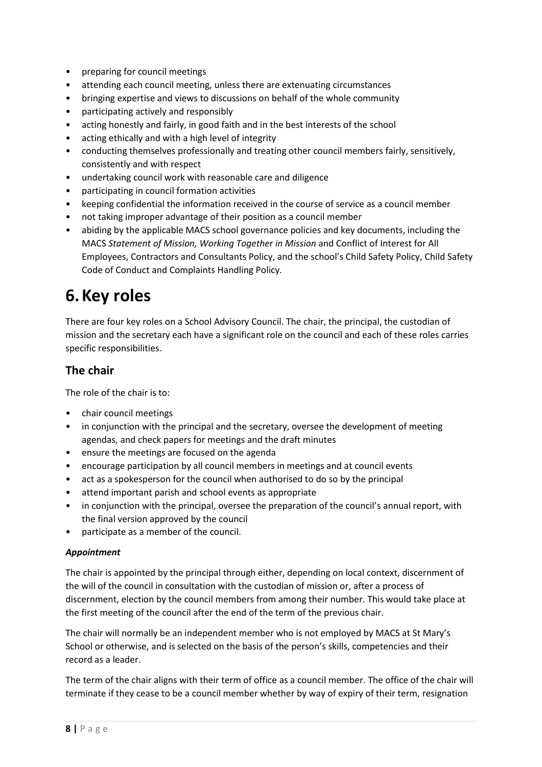- preparing for council meetings
- attending each council meeting, unless there are extenuating circumstances
- bringing expertise and views to discussions on behalf of the whole community
- participating actively and responsibly
- acting honestly and fairly, in good faith and in the best interests of the school
- acting ethically and with a high level of integrity
- conducting themselves professionally and treating other council members fairly, sensitively, consistently and with respect
- undertaking council work with reasonable care and diligence
- participating in council formation activities
- keeping confidential the information received in the course of service as a council member
- not taking improper advantage of their position as a council member
- abiding by the applicable MACS school governance policies and key documents, including the MACS *Statement of Mission, Working Together in Mission* and Conflict of Interest for All Employees, Contractors and Consultants Policy, and the school's Child Safety Policy, Child Safety Code of Conduct and Complaints Handling Policy*.*

# **6.Key roles**

There are four key roles on a School Advisory Council. The chair, the principal, the custodian of mission and the secretary each have a significant role on the council and each of these roles carries specific responsibilities.

## **The chair**

The role of the chair is to:

- chair council meetings
- in conjunction with the principal and the secretary, oversee the development of meeting agendas, and check papers for meetings and the draft minutes
- ensure the meetings are focused on the agenda
- encourage participation by all council members in meetings and at council events
- act as a spokesperson for the council when authorised to do so by the principal
- attend important parish and school events as appropriate
- in conjunction with the principal, oversee the preparation of the council's annual report, with the final version approved by the council
- participate as a member of the council.

#### *Appointment*

The chair is appointed by the principal through either, depending on local context, discernment of the will of the council in consultation with the custodian of mission or, after a process of discernment, election by the council members from among their number. This would take place at the first meeting of the council after the end of the term of the previous chair.

The chair will normally be an independent member who is not employed by MACS at St Mary's School or otherwise, and is selected on the basis of the person's skills, competencies and their record as a leader.

The term of the chair aligns with their term of office as a council member. The office of the chair will terminate if they cease to be a council member whether by way of expiry of their term, resignation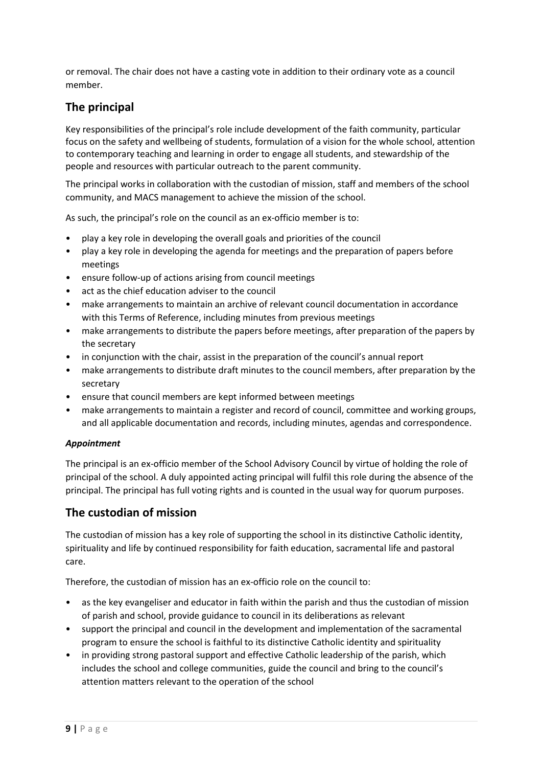or removal. The chair does not have a casting vote in addition to their ordinary vote as a council member.

## **The principal**

Key responsibilities of the principal's role include development of the faith community, particular focus on the safety and wellbeing of students, formulation of a vision for the whole school, attention to contemporary teaching and learning in order to engage all students, and stewardship of the people and resources with particular outreach to the parent community.

The principal works in collaboration with the custodian of mission, staff and members of the school community, and MACS management to achieve the mission of the school.

As such, the principal's role on the council as an ex-officio member is to:

- play a key role in developing the overall goals and priorities of the council
- play a key role in developing the agenda for meetings and the preparation of papers before meetings
- ensure follow-up of actions arising from council meetings
- act as the chief education adviser to the council
- make arrangements to maintain an archive of relevant council documentation in accordance with this Terms of Reference, including minutes from previous meetings
- make arrangements to distribute the papers before meetings, after preparation of the papers by the secretary
- in conjunction with the chair, assist in the preparation of the council's annual report
- make arrangements to distribute draft minutes to the council members, after preparation by the secretary
- ensure that council members are kept informed between meetings
- make arrangements to maintain a register and record of council, committee and working groups, and all applicable documentation and records, including minutes, agendas and correspondence.

#### *Appointment*

The principal is an ex-officio member of the School Advisory Council by virtue of holding the role of principal of the school. A duly appointed acting principal will fulfil this role during the absence of the principal. The principal has full voting rights and is counted in the usual way for quorum purposes.

## **The custodian of mission**

The custodian of mission has a key role of supporting the school in its distinctive Catholic identity, spirituality and life by continued responsibility for faith education, sacramental life and pastoral care.

Therefore, the custodian of mission has an ex-officio role on the council to:

- as the key evangeliser and educator in faith within the parish and thus the custodian of mission of parish and school, provide guidance to council in its deliberations as relevant
- support the principal and council in the development and implementation of the sacramental program to ensure the school is faithful to its distinctive Catholic identity and spirituality
- in providing strong pastoral support and effective Catholic leadership of the parish, which includes the school and college communities, guide the council and bring to the council's attention matters relevant to the operation of the school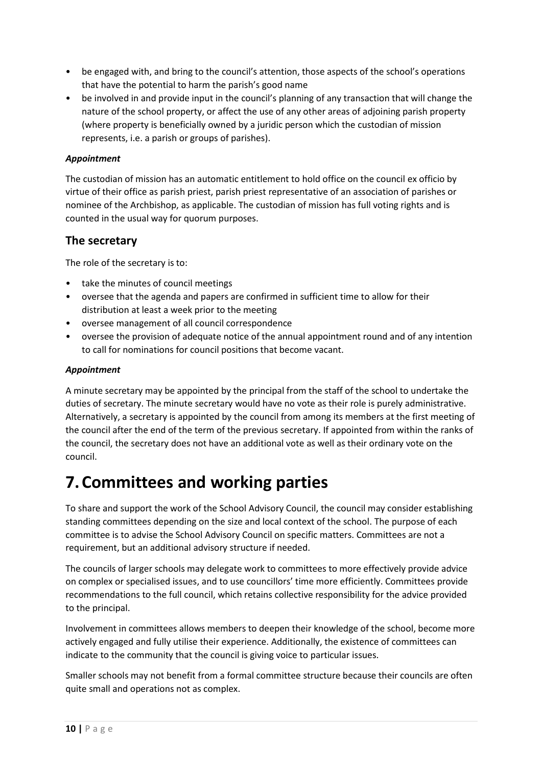- be engaged with, and bring to the council's attention, those aspects of the school's operations that have the potential to harm the parish's good name
- be involved in and provide input in the council's planning of any transaction that will change the nature of the school property, or affect the use of any other areas of adjoining parish property (where property is beneficially owned by a juridic person which the custodian of mission represents, i.e. a parish or groups of parishes).

#### *Appointment*

The custodian of mission has an automatic entitlement to hold office on the council ex officio by virtue of their office as parish priest, parish priest representative of an association of parishes or nominee of the Archbishop, as applicable. The custodian of mission has full voting rights and is counted in the usual way for quorum purposes.

### **The secretary**

The role of the secretary is to:

- take the minutes of council meetings
- oversee that the agenda and papers are confirmed in sufficient time to allow for their distribution at least a week prior to the meeting
- oversee management of all council correspondence
- oversee the provision of adequate notice of the annual appointment round and of any intention to call for nominations for council positions that become vacant.

#### *Appointment*

A minute secretary may be appointed by the principal from the staff of the school to undertake the duties of secretary. The minute secretary would have no vote as their role is purely administrative. Alternatively, a secretary is appointed by the council from among its members at the first meeting of the council after the end of the term of the previous secretary. If appointed from within the ranks of the council, the secretary does not have an additional vote as well as their ordinary vote on the council.

# **7.Committees and working parties**

To share and support the work of the School Advisory Council, the council may consider establishing standing committees depending on the size and local context of the school. The purpose of each committee is to advise the School Advisory Council on specific matters. Committees are not a requirement, but an additional advisory structure if needed.

The councils of larger schools may delegate work to committees to more effectively provide advice on complex or specialised issues, and to use councillors' time more efficiently. Committees provide recommendations to the full council, which retains collective responsibility for the advice provided to the principal.

Involvement in committees allows members to deepen their knowledge of the school, become more actively engaged and fully utilise their experience. Additionally, the existence of committees can indicate to the community that the council is giving voice to particular issues.

Smaller schools may not benefit from a formal committee structure because their councils are often quite small and operations not as complex.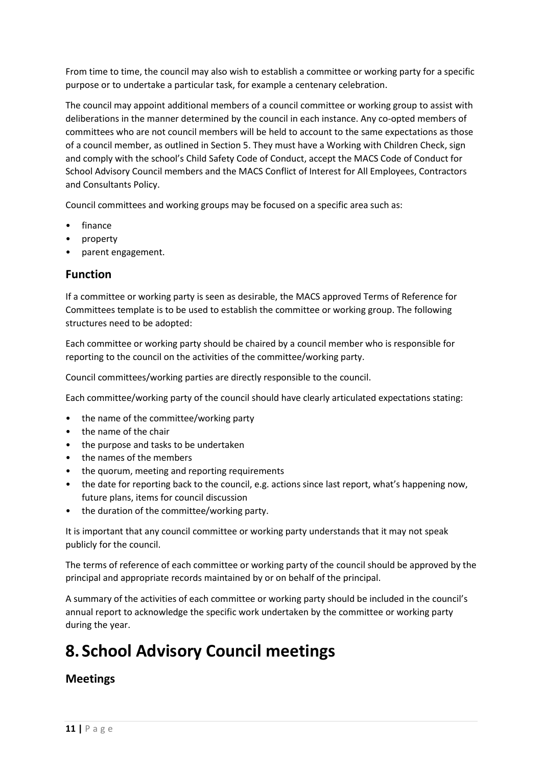From time to time, the council may also wish to establish a committee or working party for a specific purpose or to undertake a particular task, for example a centenary celebration.

The council may appoint additional members of a council committee or working group to assist with deliberations in the manner determined by the council in each instance. Any co-opted members of committees who are not council members will be held to account to the same expectations as those of a council member, as outlined in Section 5. They must have a Working with Children Check, sign and comply with the school's Child Safety Code of Conduct, accept the MACS Code of Conduct for School Advisory Council members and the MACS Conflict of Interest for All Employees, Contractors and Consultants Policy.

Council committees and working groups may be focused on a specific area such as:

- finance
- property
- parent engagement.

## **Function**

If a committee or working party is seen as desirable, the MACS approved Terms of Reference for Committees template is to be used to establish the committee or working group. The following structures need to be adopted:

Each committee or working party should be chaired by a council member who is responsible for reporting to the council on the activities of the committee/working party.

Council committees/working parties are directly responsible to the council.

Each committee/working party of the council should have clearly articulated expectations stating:

- the name of the committee/working party
- the name of the chair
- the purpose and tasks to be undertaken
- the names of the members
- the quorum, meeting and reporting requirements
- the date for reporting back to the council, e.g. actions since last report, what's happening now, future plans, items for council discussion
- the duration of the committee/working party.

It is important that any council committee or working party understands that it may not speak publicly for the council.

The terms of reference of each committee or working party of the council should be approved by the principal and appropriate records maintained by or on behalf of the principal.

A summary of the activities of each committee or working party should be included in the council's annual report to acknowledge the specific work undertaken by the committee or working party during the year.

# **8. School Advisory Council meetings**

## **Meetings**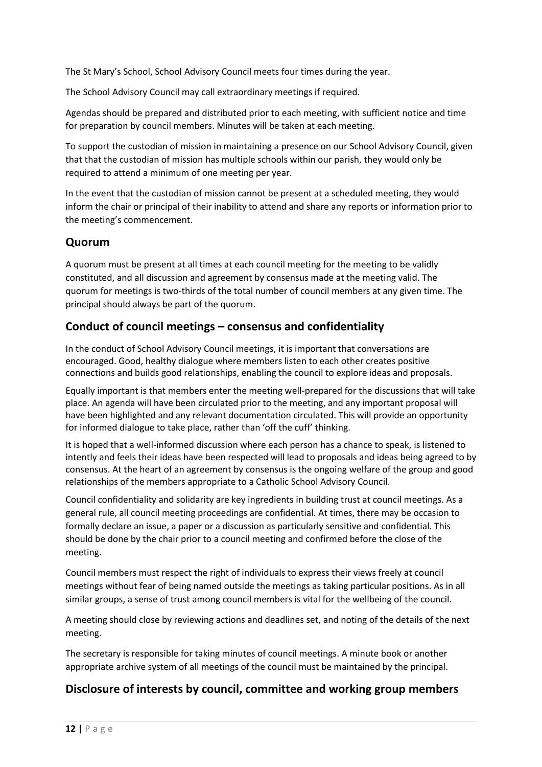The St Mary's School, School Advisory Council meets four times during the year.

The School Advisory Council may call extraordinary meetings if required.

Agendas should be prepared and distributed prior to each meeting, with sufficient notice and time for preparation by council members. Minutes will be taken at each meeting.

To support the custodian of mission in maintaining a presence on our School Advisory Council, given that that the custodian of mission has multiple schools within our parish, they would only be required to attend a minimum of one meeting per year.

In the event that the custodian of mission cannot be present at a scheduled meeting, they would inform the chair or principal of their inability to attend and share any reports or information prior to the meeting's commencement.

## **Quorum**

A quorum must be present at all times at each council meeting for the meeting to be validly constituted, and all discussion and agreement by consensus made at the meeting valid. The quorum for meetings is two-thirds of the total number of council members at any given time. The principal should always be part of the quorum.

## **Conduct of council meetings – consensus and confidentiality**

In the conduct of School Advisory Council meetings, it is important that conversations are encouraged. Good, healthy dialogue where members listen to each other creates positive connections and builds good relationships, enabling the council to explore ideas and proposals.

Equally important is that members enter the meeting well-prepared for the discussions that will take place. An agenda will have been circulated prior to the meeting, and any important proposal will have been highlighted and any relevant documentation circulated. This will provide an opportunity for informed dialogue to take place, rather than 'off the cuff' thinking.

It is hoped that a well-informed discussion where each person has a chance to speak, is listened to intently and feels their ideas have been respected will lead to proposals and ideas being agreed to by consensus. At the heart of an agreement by consensus is the ongoing welfare of the group and good relationships of the members appropriate to a Catholic School Advisory Council.

Council confidentiality and solidarity are key ingredients in building trust at council meetings. As a general rule, all council meeting proceedings are confidential. At times, there may be occasion to formally declare an issue, a paper or a discussion as particularly sensitive and confidential. This should be done by the chair prior to a council meeting and confirmed before the close of the meeting.

Council members must respect the right of individuals to express their views freely at council meetings without fear of being named outside the meetings as taking particular positions. As in all similar groups, a sense of trust among council members is vital for the wellbeing of the council.

A meeting should close by reviewing actions and deadlines set, and noting of the details of the next meeting.

The secretary is responsible for taking minutes of council meetings. A minute book or another appropriate archive system of all meetings of the council must be maintained by the principal.

## **Disclosure of interests by council, committee and working group members**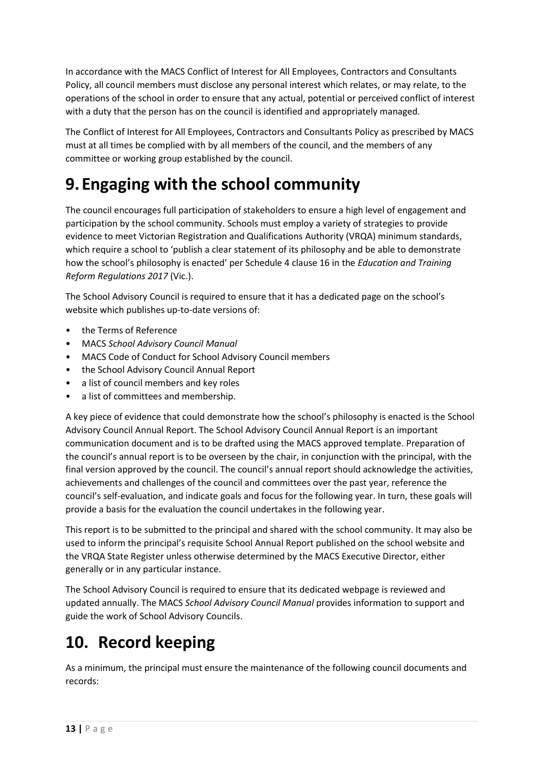In accordance with the MACS Conflict of Interest for All Employees, Contractors and Consultants Policy, all council members must disclose any personal interest which relates, or may relate, to the operations of the school in order to ensure that any actual, potential or perceived conflict of interest with a duty that the person has on the council is identified and appropriately managed.

The Conflict of Interest for All Employees, Contractors and Consultants Policy as prescribed by MACS must at all times be complied with by all members of the council, and the members of any committee or working group established by the council.

# **9. Engaging with the school community**

The council encourages full participation of stakeholders to ensure a high level of engagement and participation by the school community. Schools must employ a variety of strategies to provide evidence to meet Victorian Registration and Qualifications Authority (VRQA) minimum standards, which require a school to 'publish a clear statement of its philosophy and be able to demonstrate how the school's philosophy is enacted' per Schedule 4 clause 16 in the *Education and Training Reform Regulations 2017* (Vic.).

The School Advisory Council is required to ensure that it has a dedicated page on the school's website which publishes up-to-date versions of:

- the Terms of Reference
- MACS *School Advisory Council Manual*
- MACS Code of Conduct for School Advisory Council members
- the School Advisory Council Annual Report
- a list of council members and key roles
- a list of committees and membership.

A key piece of evidence that could demonstrate how the school's philosophy is enacted is the School Advisory Council Annual Report. The School Advisory Council Annual Report is an important communication document and is to be drafted using the MACS approved template. Preparation of the council's annual report is to be overseen by the chair, in conjunction with the principal, with the final version approved by the council. The council's annual report should acknowledge the activities, achievements and challenges of the council and committees over the past year, reference the council's self-evaluation, and indicate goals and focus for the following year. In turn, these goals will provide a basis for the evaluation the council undertakes in the following year.

This report is to be submitted to the principal and shared with the school community. It may also be used to inform the principal's requisite School Annual Report published on the school website and the VRQA State Register unless otherwise determined by the MACS Executive Director, either generally or in any particular instance.

The School Advisory Council is required to ensure that its dedicated webpage is reviewed and updated annually. The MACS *School Advisory Council Manual* provides information to support and guide the work of School Advisory Councils.

# **10. Record keeping**

As a minimum, the principal must ensure the maintenance of the following council documents and records: